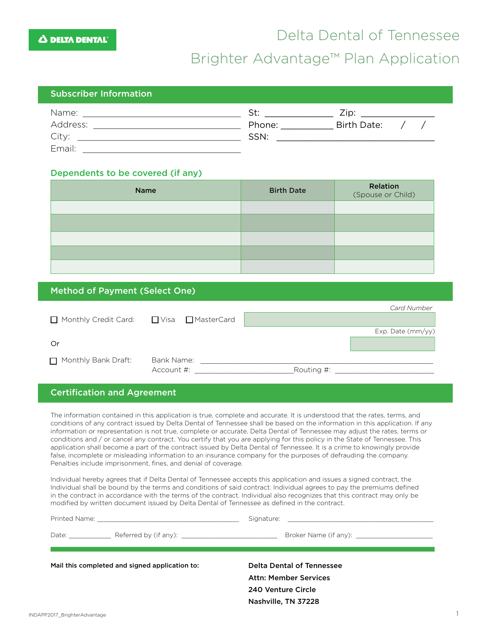## Delta Dental of Tennessee

### Brighter Advantage™ Plan Application

#### Subscriber Information

| Name:    | St:    | Zip:               |  |  |
|----------|--------|--------------------|--|--|
| Address: | Phone: | <b>Birth Date:</b> |  |  |
| City:    | SSN:   |                    |  |  |
| Email:   |        |                    |  |  |

#### Dependents to be covered (if any):

| Name | <b>Birth Date</b> | Relation<br>(Spouse or Child) |
|------|-------------------|-------------------------------|
|      |                   |                               |
|      |                   |                               |
|      |                   |                               |
|      |                   |                               |
|      |                   |                               |

#### Method of Payment (Select One)

|                      |                     |  |            | <b>Card Number</b> |
|----------------------|---------------------|--|------------|--------------------|
| Monthly Credit Card: | ■ Visa ■ MasterCard |  |            |                    |
|                      |                     |  |            | Exp. Date (mm/yy)  |
| Or                   |                     |  |            |                    |
| Monthly Bank Draft:  | Bank Name:          |  |            |                    |
|                      | Account #:          |  | Routing #: |                    |

#### Certification and Agreement

The information contained in this application is true, complete and accurate. It is understood that the rates, terms, and conditions of any contract issued by Delta Dental of Tennessee shall be based on the information in this application. If any information or representation is not true, complete or accurate, Delta Dental of Tennessee may adjust the rates, terms or conditions and / or cancel any contract. You certify that you are applying for this policy in the State of Tennessee. This application shall become a part of the contract issued by Delta Dental of Tennessee. It is a crime to knowingly provide false, incomplete or misleading information to an insurance company for the purposes of defrauding the company. Penalties include imprisonment, fines, and denial of coverage.

Individual hereby agrees that if Delta Dental of Tennessee accepts this application and issues a signed contract, the Individual shall be bound by the terms and conditions of said contract. Individual agrees to pay the premiums defined in the contract in accordance with the terms of the contract. Individual also recognizes that this contract may only be modified by written document issued by Delta Dental of Tennessee as defined in the contract.

|                                                | Broker Name (if any): The state of the state of the state of the state of the state of the state of the state o |
|------------------------------------------------|-----------------------------------------------------------------------------------------------------------------|
| Mail this completed and signed application to: | Delta Dental of Tennessee<br><b>Attn: Member Services</b>                                                       |
|                                                | 240 Venture Circle                                                                                              |

Nashville, TN 37228